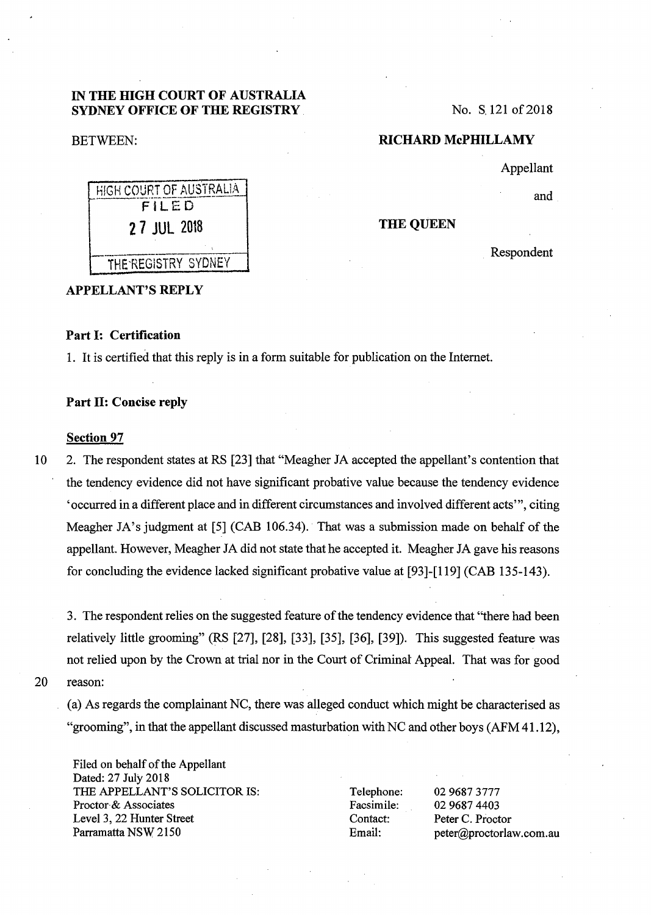## IN THE HIGH COURT OF AUSTRALIA SYDNEY OFFICE OF THE REGISTRY.

### BETWEEN:

No. S. 121 of 2018

## RICHARD McPHILLAMY

Appellant

and

#### THE QUEEN

Respondent

# HIGH COURT OF AUSTRALIA 27 JUL 2018 THE REGISTRY SYDNEY

## APPELLANT'S REPLY

# Part l: Certification

1. It is certified that this reply is in a form suitable for publication on the Internet.

#### Part 11: Concise reply

#### Section 97

10 2. The respondent states at RS [23] that "Meagher JA accepted the appellant's contention that the tendency evidence did not have significant probative value because the tendency evidence 'occurred in a different place and in different circumstances and involved different acts'", citing Meagher JA's judgment at [5] (CAB 106.34). That was a submission made on behalf of the appellant. However, Meagher JA did not state that he accepted it. Meagher JA gave his reasons for concluding the evidence lacked significant probative value at [93]-[119] (CAB 135-143).

3. The respondent relies on the suggested feature of the tendency evidence that "there had been relatively little grooming" (RS [27], [28], [33], [35], [36], [39]). This suggested feature was not relied upon by the Crown at trial nor in the Court of Criminal Appeal. That was for good 20 reason:

(a) As regards the complainant NC, there was alleged conduct which might be characterised as "grooming", in that the appellant discussed masturbation with NC and other boys (AFM 41.12),

Filed on behalf of the Appellant Dated: 27 July 2018 THE APPELLANT'S SOLICITOR IS: Proctor·& Associates Level 3, 22 Hunter Street Parramatta NSW 2150

Telephone: Facsimile: Contact: Email:

02 9687 3777 02 9687 4403 Peter C. Proctor peter@proctorlaw .com.au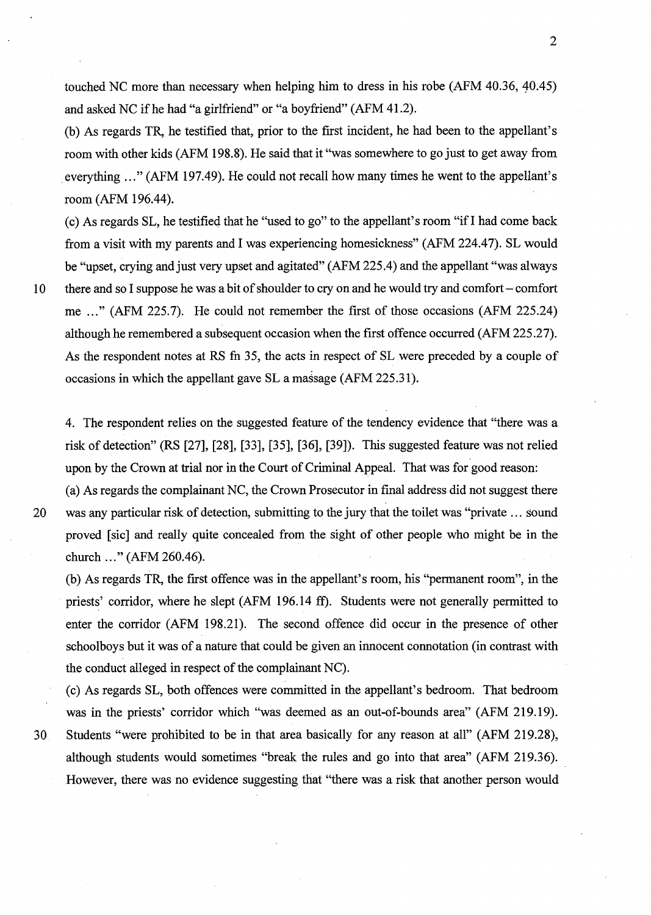touched NC more than necessary when helping him to dress in his robe  $(AFM 40.36, 40.45)$ and asked NC if he had "a girlfriend" or "a boyfriend" (AFM 41.2).

(b) As regards TR, he testified that, prior to the first incident, he had been to the appellant's room with other kids (AFM 198.8). He said that it "was somewhere to go just to get away from everything ..." (AFM 197.49). He could not recall how many times he went to the appellant's room (AFM 196.44).

(c) As regards SL, he testified that he "used to go" to the appellant's room "if I had come back from a visit with my parents and I was experiencing homesickness" (AFM 224.47). SL would be "upset, crying and just very upset and agitated" (AFM 225.4) and the appellant "was always 10 there and so I suppose he was a bit of shoulder to cry on and he would try and comfort - comfort me ..." (AFM 225.7). He could not remember the first of those occasions (AFM 225.24) although he remembered a subsequent occasion when the first offence occurred (AFM 225.27). As the respondent notes at RS fn 35, the acts in respect of SL were preceded by a couple of occasions in which the appellant gave SL a massage (AFM 225.31).

4. The respondent relies on the suggested feature of the tendency evidence that "there was a risk of detection" (RS [27], [28], [33], [35], [36], [39]). This suggested feature was not relied upon by the Crown at trial nor in the Court of Criminal Appeal. That was for good reason:

(a) As regards the complainant NC, the Crown Prosecutor in final address did not suggest there 20 was any particular risk of detection, submitting to the jury that the toilet was "private ... sound proved [sic] and really quite concealed from the sight of other people who might be in the church ..." (AFM 260.46).

(b) As regards TR, the first offence was in the appellant's room, his "permanent room", in the priests' corridor, where he slept (AFM 196.14 ff). Students were not generally permitted to enter the corridor (AFM 198.21). The second offence did occur in the presence of other schoolboys but it was of a nature that could be given an innocent connotation (in contrast with the conduct alleged in respect of the complainant NC).

(c) As regards SL, both offences were committed in the appellant's bedroom. That bedroom was in the priests' corridor which "was deemed as an out-of-bounds area" (AFM 219.19).

30 Students "were prohibited to be in that area basically for any reason at all" (AFM 219.28), although students would sometimes "break the rules and go into that area" (AFM 219.36). However, there was no evidence suggesting that "there was a risk that another person would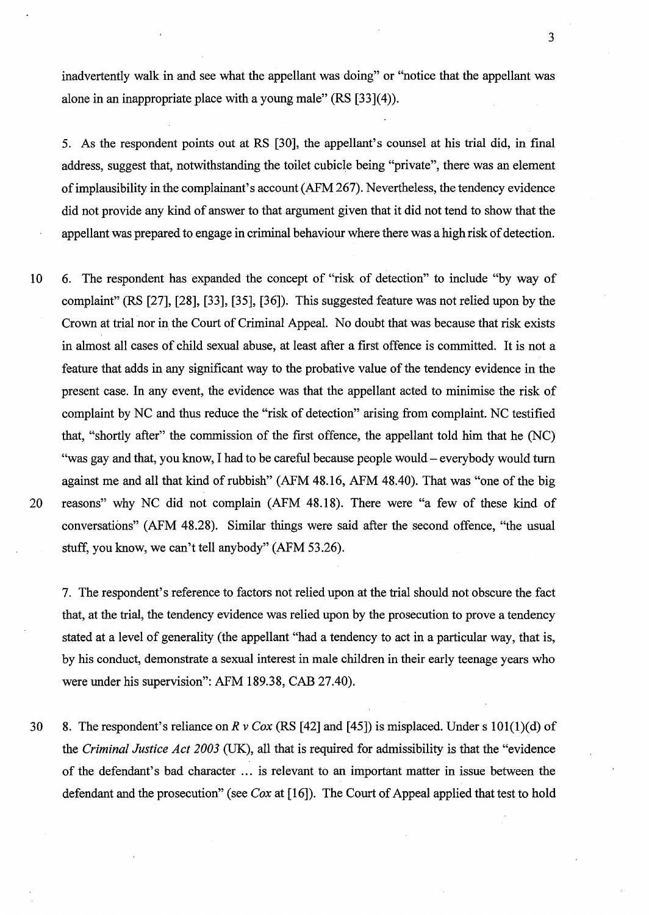inadvertently walk in and see what the appellant was doing" or "notice that the appellant was alone in an inappropriate place with a young male" (RS [33](4)).

3

5. As the respondent points out at RS [30], the appellant's counsel at his trial did, in final address, suggest that, notwithstanding the toilet cubicle being "private", there was an element of implausibility in the complainant's account (AFM 267). Nevertheless, the tendency evidence did not provide any kind of answer to that argument given that it did not tend to show that the appellant was prepared to engage in criminal behaviour where there was a high risk of detection.

10 6. The respondent has expanded the concept of "risk of detection" to include "by way of complaint" (RS [27], [28], [33], [35], [36]). This suggested feature was not relied upon by the Crown at trial nor in the Court of Criminal Appeal. No doubt that was because that risk exists in almost all cases of child sexual abuse, at least after a first offence is committed. It is not a feature that adds in any significant way to the probative value of the tendency evidence in the present case. In any event, the evidence was that the appellant acted to minimise the risk of complaint by NC and thus reduce the "risk of detection" arising from complaint. NC testified that, "shortly after" the commission of the first offence, the appellant told him that he (NC) "was gay and that, you know, I had to be careful because people would- everybody would turn against me and all that kind of rubbish" (AFM 48.16, AFM 48.40). That was "one of the big 20 reasons" why NC did not complain (AFM 48.18). There were "a few of these kind of conversations" (AFM 48.28). Similar things were said after the second offence, "the usual stuff, you know, we can't tell anybody" (AFM 53.26).

7. The respondent's reference to factors not relied upon at the trial should not obscure the fact that, at the trial, the tendency evidence was relied upon by the prosecution to prove a tendency stated at a level of generality (the appellant "had a tendency to act in a particular way, that is, by his conduct, demonstrate a sexual interest in male children in their early teenage years who were under his supervision": AFM 189.38, CAB 27.40).

30 8. The respondent's reliance on *R v Cox* (RS [42] and [45]) is misplaced. Under s 101(1)(d) of the *Criminal Justice Act 2003* (UK), all that is required for admissibility is that the "evidence of the defendant's bad character ... is relevant to an important matter in issue between the defendant and the prosecution" (see *Cox* at [16]). The Court of Appeal applied that test to hold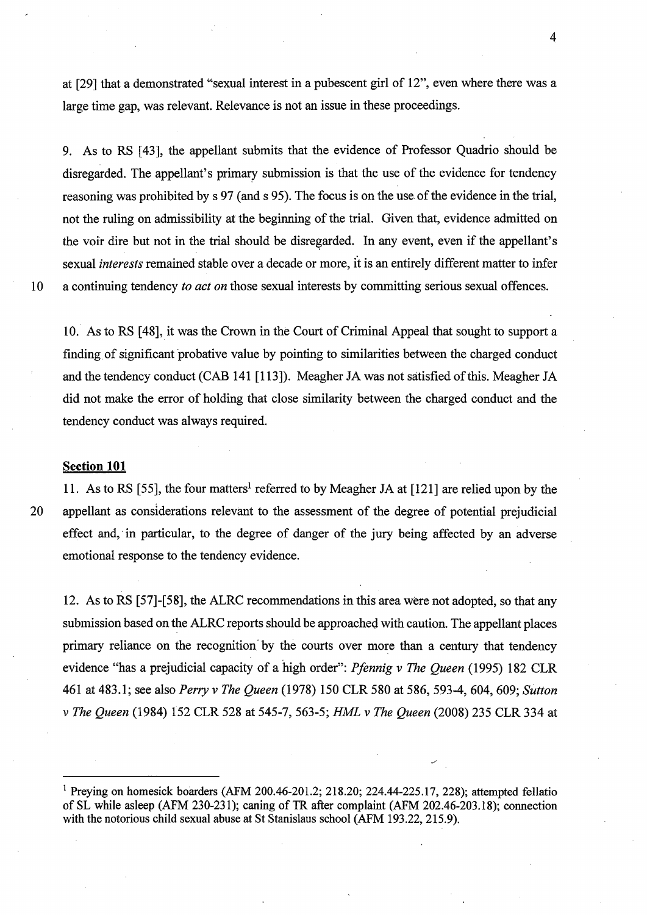at [29] that a demonstrated "sexual interest in a pubescent girl of 12", even where there was a large time gap, was relevant. Relevance is not an issue in these proceedings.

9. As to RS [43], the appellant submits that the evidence of Professor Quadrio should be disregarded. The appellant's primary submission is that the use of the evidence for tendency reasoning was prohibited by s 97 (and s 95). The focus is on the use of the evidence in the trial, not the ruling on admissibility at the beginning of the trial. Given that, evidence admitted on the voir dire but not in the trial should be disregarded. In any event, even if the appellant's sexual *interests* remained stable over a decade or more, it is an entirely different matter to infer 10 a continuing tendency *to act on* those sexual interests by committing serious sexual offences.

10. As to RS [ 48], it was the Crown in the Court of Criminal Appeal that sought to support a finding. of significant probative value by pointing to similarities between the charged conduct and the tendency conduct (CAB 141 [113]). Meagher JA was not satisfied ofthis. Meagher JA did not make the error of holding that close similarity between the charged conduct and the tendency conduct was always required.

#### **Section 101**

11. As to RS [55], the four matters<sup>1</sup> referred to by Meagher JA at [121] are relied upon by the 20 appellant as considerations relevant to the assessment of the degree of potential prejudicial effect and, in particular, to the degree of danger of the jury being affected by an adverse emotional response to the tendency evidence.

12. As to RS [57]-[58], the ALRC recommendations in this area were not adopted, so that any submission based on the ALRC reports should be approached with caution. The appellant places primary reliance on the recognition' by the courts over more than a century that tendency evidence "has a prejudicial capacity of a high order": *Pfennig v The Queen* (1995) 182 CLR 461 at 483.1; see also *Perry v The Queen* (1978) 150 CLR 580 at 586, 593-4, 604, 609; *Sutton v The Queen* (1984) 152 CLR 528 at 545-7, 563-5; *HML v The Queen* (2008) 235 CLR 334 at

<sup>&</sup>lt;sup>1</sup> Preving on homesick boarders (AFM 200.46-201.2; 218.20; 224.44-225.17, 228); attempted fellatio of SL while asleep (AFM 230-231); caning of TR after complaint (AFM 202.46-203.18); connection with the notorious child sexual abuse at St Stanislaus school (AFM 193.22, 215.9).